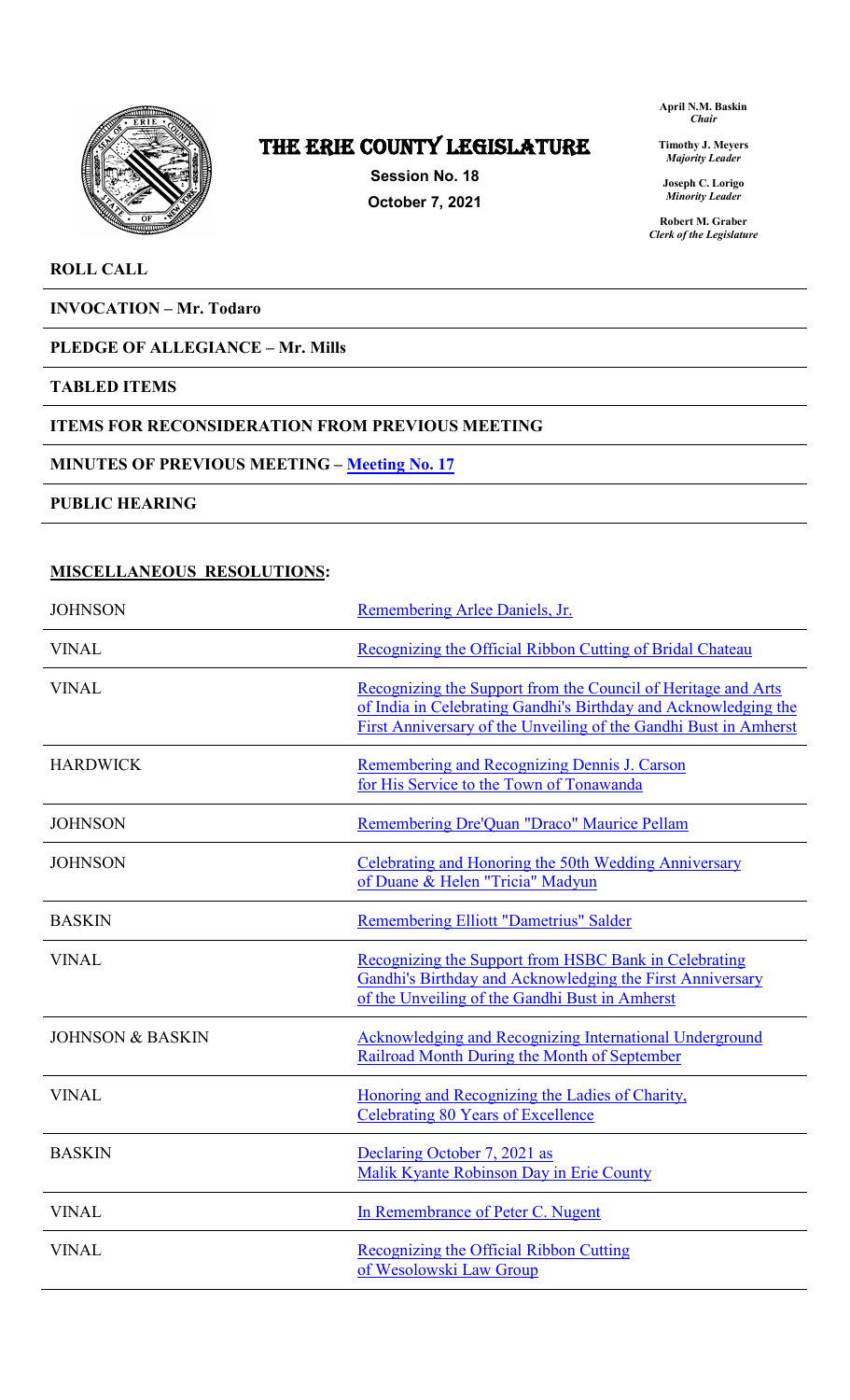

# The ERIE COUNTY LEGISLATURE

**Session No. 18 October 7, 2021** **April N.M. Baskin** *Chair*

**Timothy J. Meyers** *Majority Leader*

**Joseph C. Lorigo** *Minority Leader*

**Robert M. Graber** *Clerk of the Legislature*

### **ROLL CALL**

**INVOCATION – Mr. Todaro**

## **PLEDGE OF ALLEGIANCE – Mr. Mills**

#### **TABLED ITEMS**

#### **ITEMS FOR RECONSIDERATION FROM PREVIOUS MEETING**

#### **MINUTES OF PREVIOUS MEETING – [Meeting No. 17](https://www2.erie.gov/legislature/sites/www2.erie.gov.legislature/files/uploads/Session_Folders/2021/18/Meeting%2017%20from%202021%20minutes.pdf)**

**PUBLIC HEARING**

### **MISCELLANEOUS RESOLUTIONS:**

| <b>JOHNSON</b>              | Remembering Arlee Daniels, Jr.                                                                                                                                                                       |
|-----------------------------|------------------------------------------------------------------------------------------------------------------------------------------------------------------------------------------------------|
| <b>VINAL</b>                | Recognizing the Official Ribbon Cutting of Bridal Chateau                                                                                                                                            |
| <b>VINAL</b>                | Recognizing the Support from the Council of Heritage and Arts<br>of India in Celebrating Gandhi's Birthday and Acknowledging the<br>First Anniversary of the Unveiling of the Gandhi Bust in Amherst |
| <b>HARDWICK</b>             | Remembering and Recognizing Dennis J. Carson<br>for His Service to the Town of Tonawanda                                                                                                             |
| <b>JOHNSON</b>              | Remembering Dre'Quan "Draco" Maurice Pellam                                                                                                                                                          |
| <b>JOHNSON</b>              | Celebrating and Honoring the 50th Wedding Anniversary<br>of Duane & Helen "Tricia" Madyun                                                                                                            |
| <b>BASKIN</b>               | <b>Remembering Elliott "Dametrius" Salder</b>                                                                                                                                                        |
| <b>VINAL</b>                | Recognizing the Support from HSBC Bank in Celebrating<br>Gandhi's Birthday and Acknowledging the First Anniversary<br>of the Unveiling of the Gandhi Bust in Amherst                                 |
| <b>JOHNSON &amp; BASKIN</b> | Acknowledging and Recognizing International Underground<br>Railroad Month During the Month of September                                                                                              |
| <b>VINAL</b>                | Honoring and Recognizing the Ladies of Charity,<br><b>Celebrating 80 Years of Excellence</b>                                                                                                         |
| <b>BASKIN</b>               | Declaring October 7, 2021 as<br>Malik Kyante Robinson Day in Erie County                                                                                                                             |
| <b>VINAL</b>                | In Remembrance of Peter C. Nugent                                                                                                                                                                    |
| <b>VINAL</b>                | Recognizing the Official Ribbon Cutting<br>of Wesolowski Law Group                                                                                                                                   |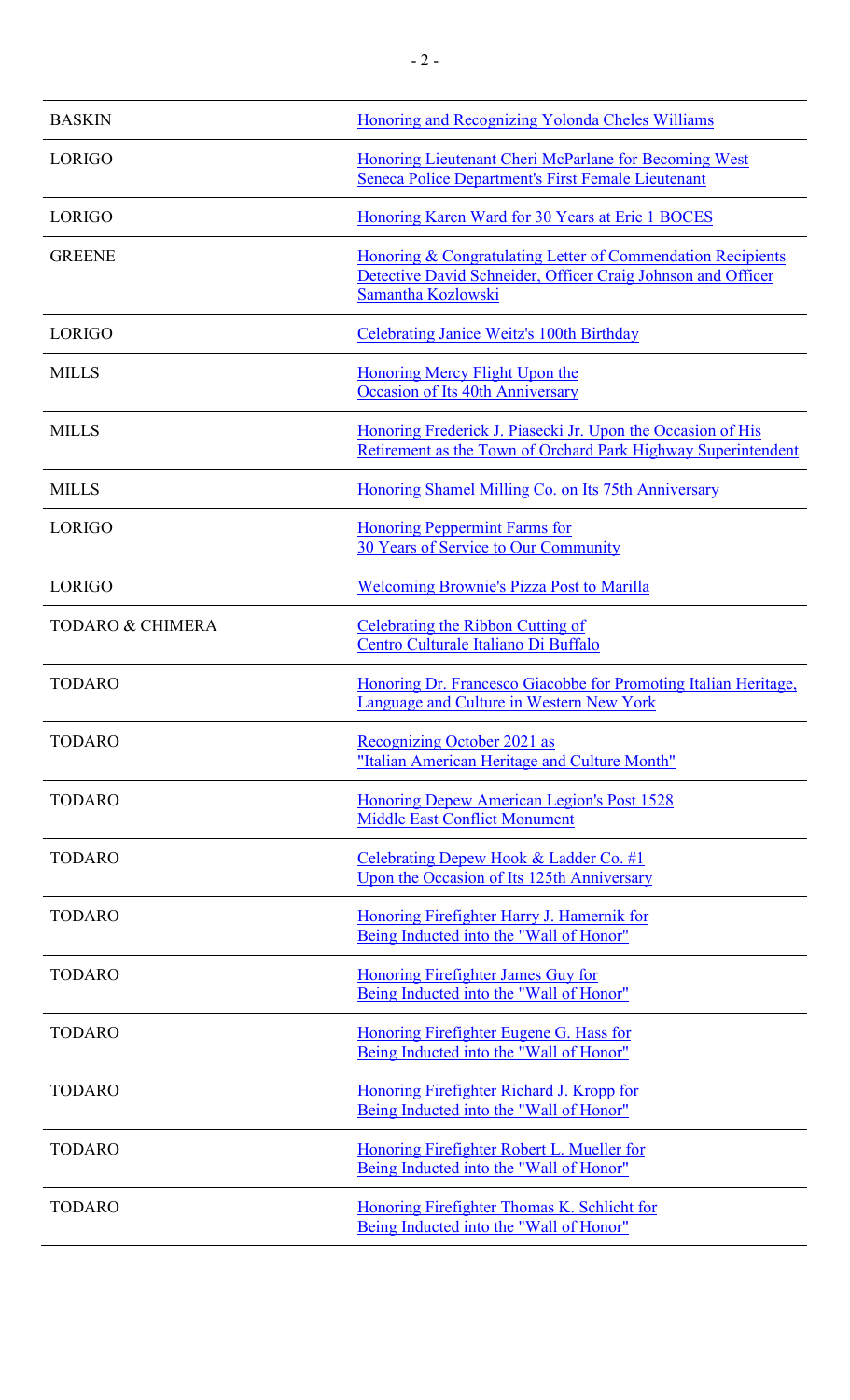| <b>BASKIN</b>               | Honoring and Recognizing Yolonda Cheles Williams                                                                                                  |
|-----------------------------|---------------------------------------------------------------------------------------------------------------------------------------------------|
| LORIGO                      | Honoring Lieutenant Cheri McParlane for Becoming West<br>Seneca Police Department's First Female Lieutenant                                       |
| LORIGO                      | Honoring Karen Ward for 30 Years at Erie 1 BOCES                                                                                                  |
| <b>GREENE</b>               | Honoring & Congratulating Letter of Commendation Recipients<br>Detective David Schneider, Officer Craig Johnson and Officer<br>Samantha Kozlowski |
| LORIGO                      | <b>Celebrating Janice Weitz's 100th Birthday</b>                                                                                                  |
| <b>MILLS</b>                | Honoring Mercy Flight Upon the<br><b>Occasion of Its 40th Anniversary</b>                                                                         |
| <b>MILLS</b>                | Honoring Frederick J. Piasecki Jr. Upon the Occasion of His<br>Retirement as the Town of Orchard Park Highway Superintendent                      |
| <b>MILLS</b>                | Honoring Shamel Milling Co. on Its 75th Anniversary                                                                                               |
| <b>LORIGO</b>               | <b>Honoring Peppermint Farms for</b><br>30 Years of Service to Our Community                                                                      |
| <b>LORIGO</b>               | <b>Welcoming Brownie's Pizza Post to Marilla</b>                                                                                                  |
| <b>TODARO &amp; CHIMERA</b> | Celebrating the Ribbon Cutting of<br>Centro Culturale Italiano Di Buffalo                                                                         |
| <b>TODARO</b>               | Honoring Dr. Francesco Giacobbe for Promoting Italian Heritage,<br>Language and Culture in Western New York                                       |
| <b>TODARO</b>               | Recognizing October 2021 as<br>"Italian American Heritage and Culture Month"                                                                      |
| <b>TODARO</b>               | Honoring Depew American Legion's Post 1528<br><b>Middle East Conflict Monument</b>                                                                |
| <b>TODARO</b>               | Celebrating Depew Hook & Ladder Co. #1<br>Upon the Occasion of Its 125th Anniversary                                                              |
| <b>TODARO</b>               | Honoring Firefighter Harry J. Hamernik for<br>Being Inducted into the "Wall of Honor"                                                             |
| <b>TODARO</b>               | <b>Honoring Firefighter James Guy for</b><br>Being Inducted into the "Wall of Honor"                                                              |
| <b>TODARO</b>               | Honoring Firefighter Eugene G. Hass for<br>Being Inducted into the "Wall of Honor"                                                                |
| <b>TODARO</b>               | Honoring Firefighter Richard J. Kropp for<br>Being Inducted into the "Wall of Honor"                                                              |
| <b>TODARO</b>               | Honoring Firefighter Robert L. Mueller for<br>Being Inducted into the "Wall of Honor"                                                             |
| <b>TODARO</b>               | Honoring Firefighter Thomas K. Schlicht for<br>Being Inducted into the "Wall of Honor"                                                            |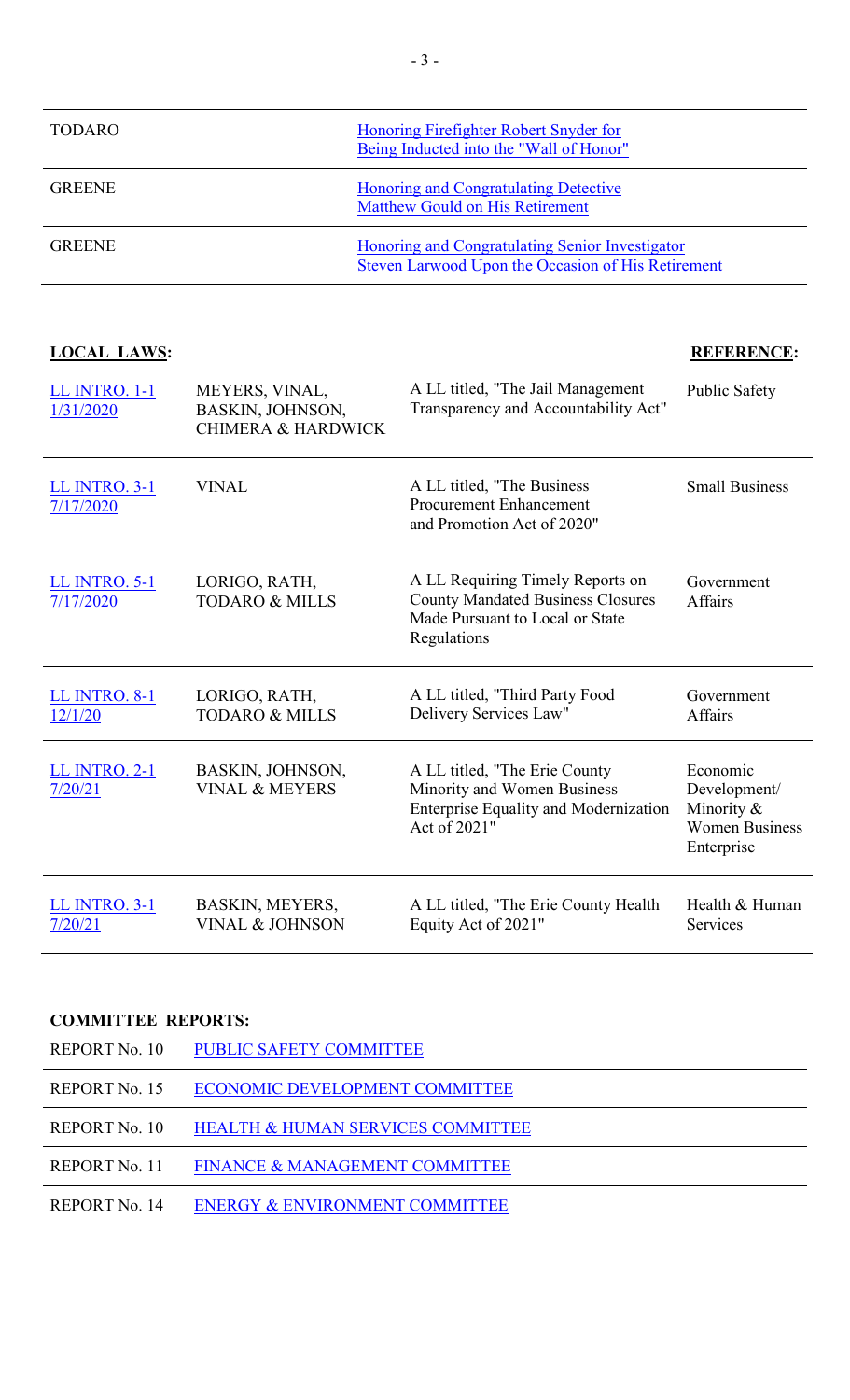| TODARO        | Honoring Firefighter Robert Snyder for<br>Being Inducted into the "Wall of Honor"                     |
|---------------|-------------------------------------------------------------------------------------------------------|
| <b>GREENE</b> | <b>Honoring and Congratulating Detective</b><br><b>Matthew Gould on His Retirement</b>                |
| <b>GREENE</b> | Honoring and Congratulating Senior Investigator<br>Steven Larwood Upon the Occasion of His Retirement |

## **LOCAL LAWS: REFERENCE:**

| LL INTRO. 1-1<br>1/31/2020        | MEYERS, VINAL,<br>BASKIN, JOHNSON,<br><b>CHIMERA &amp; HARDWICK</b> | A LL titled, "The Jail Management<br>Transparency and Accountability Act"                                                      | Public Safety                                                                 |
|-----------------------------------|---------------------------------------------------------------------|--------------------------------------------------------------------------------------------------------------------------------|-------------------------------------------------------------------------------|
| <b>LL INTRO. 3-1</b><br>7/17/2020 | <b>VINAL</b>                                                        | A LL titled, "The Business"<br><b>Procurement Enhancement</b><br>and Promotion Act of 2020"                                    | <b>Small Business</b>                                                         |
| <b>LL INTRO. 5-1</b><br>7/17/2020 | LORIGO, RATH,<br><b>TODARO &amp; MILLS</b>                          | A LL Requiring Timely Reports on<br><b>County Mandated Business Closures</b><br>Made Pursuant to Local or State<br>Regulations | Government<br>Affairs                                                         |
| <b>LL INTRO. 8-1</b><br>12/1/20   | LORIGO, RATH,<br><b>TODARO &amp; MILLS</b>                          | A LL titled, "Third Party Food<br>Delivery Services Law"                                                                       | Government<br>Affairs                                                         |
| <b>LL INTRO. 2-1</b><br>7/20/21   | BASKIN, JOHNSON,<br><b>VINAL &amp; MEYERS</b>                       | A LL titled, "The Erie County<br>Minority and Women Business<br><b>Enterprise Equality and Modernization</b><br>Act of 2021"   | Economic<br>Development/<br>Minority &<br><b>Women Business</b><br>Enterprise |
| <b>LL INTRO. 3-1</b><br>7/20/21   | BASKIN, MEYERS,<br><b>VINAL &amp; JOHNSON</b>                       | A LL titled, "The Erie County Health"<br>Equity Act of 2021"                                                                   | Health & Human<br>Services                                                    |

# **COMMITTEE REPORTS:**

| REPORT No. 10 | <b>PUBLIC SAFETY COMMITTEE</b>               |
|---------------|----------------------------------------------|
| REPORT No. 15 | ECONOMIC DEVELOPMENT COMMITTEE               |
| REPORT No. 10 | <b>HEALTH &amp; HUMAN SERVICES COMMITTEE</b> |
| REPORT No. 11 | <b>FINANCE &amp; MANAGEMENT COMMITTEE</b>    |
| REPORT No. 14 | <b>ENERGY &amp; ENVIRONMENT COMMITTEE</b>    |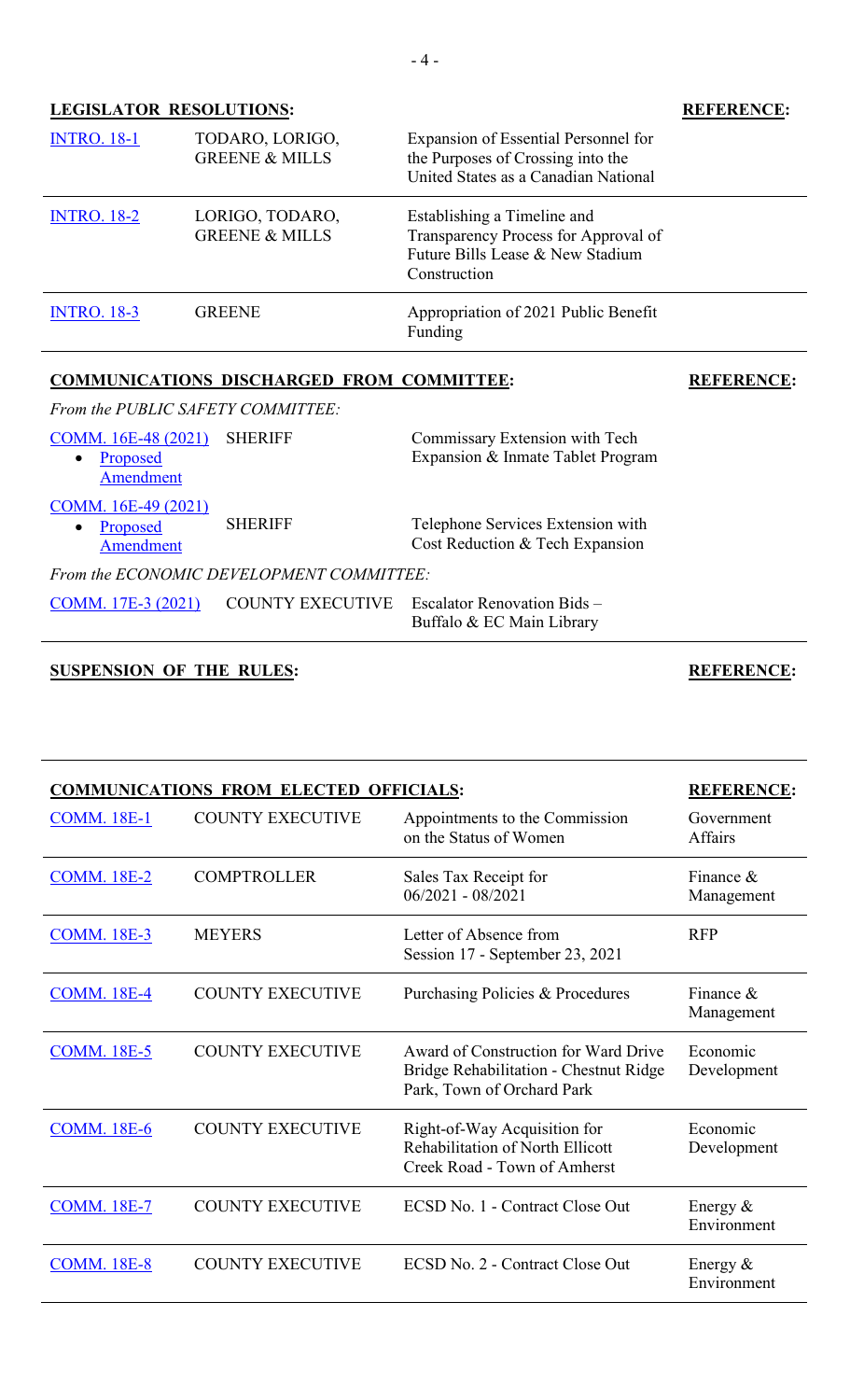### **LEGISLATOR RESOLUTIONS: REFERENCE:**

| <b>INTRO. 18-1</b> | TODARO, LORIGO,<br><b>GREENE &amp; MILLS</b> | Expansion of Essential Personnel for<br>the Purposes of Crossing into the<br>United States as a Canadian National       |
|--------------------|----------------------------------------------|-------------------------------------------------------------------------------------------------------------------------|
| <b>INTRO. 18-2</b> | LORIGO, TODARO,<br><b>GREENE &amp; MILLS</b> | Establishing a Timeline and<br>Transparency Process for Approval of<br>Future Bills Lease & New Stadium<br>Construction |
| <b>INTRO. 18-3</b> | <b>GREENE</b>                                | Appropriation of 2021 Public Benefit<br>Funding                                                                         |

# **COMMUNICATIONS DISCHARGED FROM COMMITTEE: REFERENCE:**

*From the PUBLIC SAFETY COMMITTEE:*

| COMM. 16E-48 (2021)<br>Proposed<br>$\bullet$<br>Amendment | <b>SHERIFF</b>                           | Commissary Extension with Tech<br>Expansion & Inmate Tablet Program  |
|-----------------------------------------------------------|------------------------------------------|----------------------------------------------------------------------|
| COMM. 16E-49 (2021)<br>Proposed<br>$\bullet$<br>Amendment | <b>SHERIFF</b>                           | Telephone Services Extension with<br>Cost Reduction & Tech Expansion |
|                                                           | From the ECONOMIC DEVELOPMENT COMMITTEE: |                                                                      |
| COMM. 17E-3 (2021)                                        |                                          | <b>DUNTY EXECUTIVE</b> Escalator Renovation Bids -                   |

Buffalo & EC Main Library

# **SUSPENSION OF THE RULES: REFERENCE:**

| <b>COMMUNICATIONS FROM ELECTED OFFICIALS:</b> |                         |                                                                                                              | <b>REFERENCE:</b>          |
|-----------------------------------------------|-------------------------|--------------------------------------------------------------------------------------------------------------|----------------------------|
| <b>COMM. 18E-1</b>                            | <b>COUNTY EXECUTIVE</b> | Appointments to the Commission<br>on the Status of Women                                                     | Government<br>Affairs      |
| <b>COMM. 18E-2</b>                            | <b>COMPTROLLER</b>      | Sales Tax Receipt for<br>$06/2021 - 08/2021$                                                                 | Finance $\&$<br>Management |
| <b>COMM. 18E-3</b>                            | <b>MEYERS</b>           | Letter of Absence from<br>Session 17 - September 23, 2021                                                    | <b>RFP</b>                 |
| <b>COMM. 18E-4</b>                            | <b>COUNTY EXECUTIVE</b> | Purchasing Policies & Procedures                                                                             | Finance $\&$<br>Management |
| <b>COMM. 18E-5</b>                            | <b>COUNTY EXECUTIVE</b> | Award of Construction for Ward Drive<br>Bridge Rehabilitation - Chestnut Ridge<br>Park, Town of Orchard Park | Economic<br>Development    |
| <b>COMM. 18E-6</b>                            | <b>COUNTY EXECUTIVE</b> | Right-of-Way Acquisition for<br>Rehabilitation of North Ellicott<br>Creek Road - Town of Amherst             | Economic<br>Development    |
| <b>COMM. 18E-7</b>                            | <b>COUNTY EXECUTIVE</b> | ECSD No. 1 - Contract Close Out                                                                              | Energy $&$<br>Environment  |
| <b>COMM. 18E-8</b>                            | <b>COUNTY EXECUTIVE</b> | ECSD No. 2 - Contract Close Out                                                                              | Energy $&$<br>Environment  |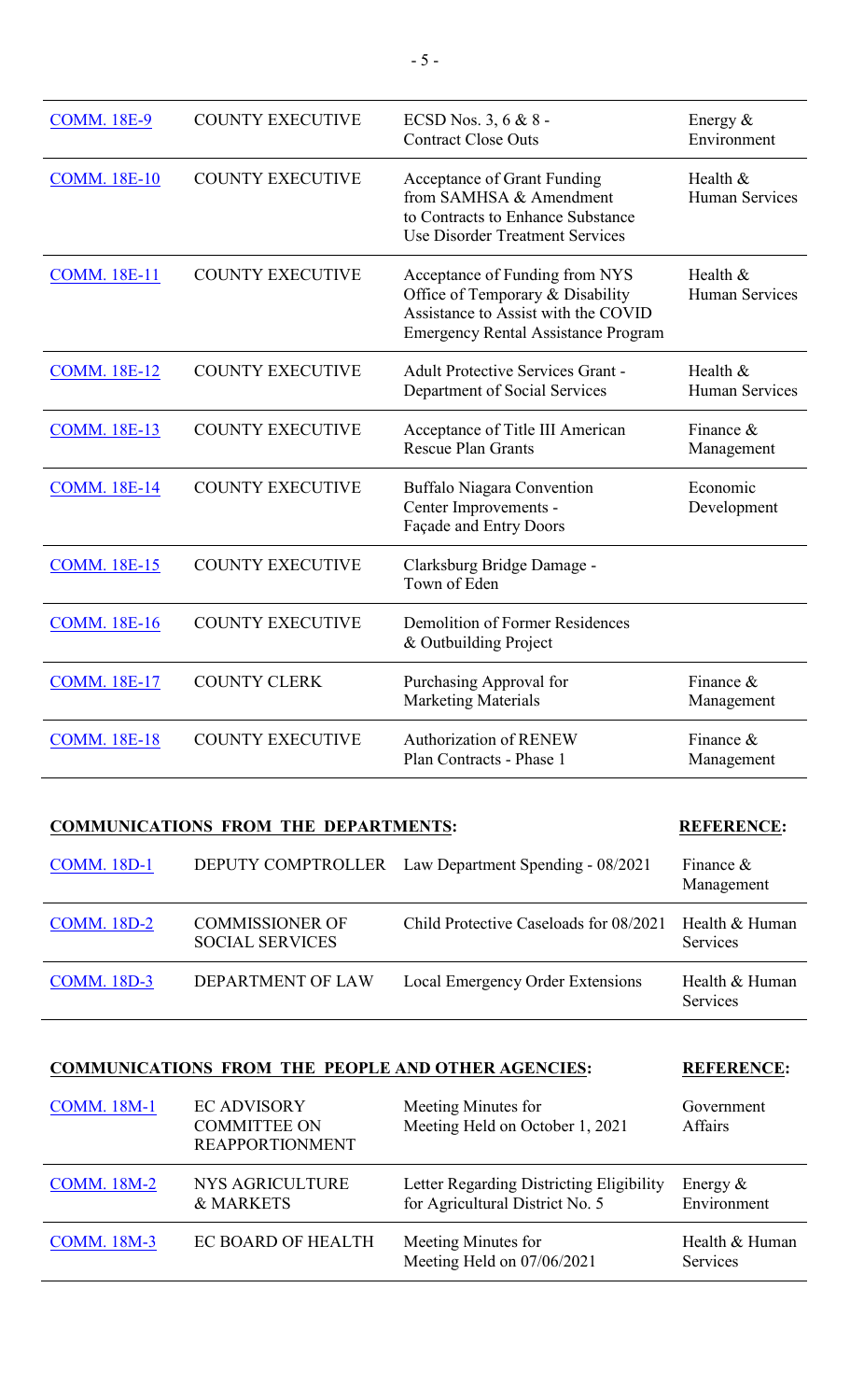| <b>COMM. 18E-9</b>  | <b>COUNTY EXECUTIVE</b> | ECSD Nos. 3, 6 & 8 -<br><b>Contract Close Outs</b>                                                                                                      | Energy $&$<br>Environment         |
|---------------------|-------------------------|---------------------------------------------------------------------------------------------------------------------------------------------------------|-----------------------------------|
| <b>COMM. 18E-10</b> | <b>COUNTY EXECUTIVE</b> | Acceptance of Grant Funding<br>from SAMHSA & Amendment<br>to Contracts to Enhance Substance<br>Use Disorder Treatment Services                          | Health &<br><b>Human Services</b> |
| <b>COMM. 18E-11</b> | <b>COUNTY EXECUTIVE</b> | Acceptance of Funding from NYS<br>Office of Temporary & Disability<br>Assistance to Assist with the COVID<br><b>Emergency Rental Assistance Program</b> | Health &<br>Human Services        |
| <b>COMM. 18E-12</b> | <b>COUNTY EXECUTIVE</b> | <b>Adult Protective Services Grant -</b><br>Department of Social Services                                                                               | Health &<br>Human Services        |
| <b>COMM. 18E-13</b> | <b>COUNTY EXECUTIVE</b> | Acceptance of Title III American<br><b>Rescue Plan Grants</b>                                                                                           | Finance $\&$<br>Management        |
| <b>COMM. 18E-14</b> | <b>COUNTY EXECUTIVE</b> | Buffalo Niagara Convention<br>Center Improvements -<br>Façade and Entry Doors                                                                           | Economic<br>Development           |
| <b>COMM. 18E-15</b> | <b>COUNTY EXECUTIVE</b> | Clarksburg Bridge Damage -<br>Town of Eden                                                                                                              |                                   |
| <b>COMM. 18E-16</b> | <b>COUNTY EXECUTIVE</b> | <b>Demolition of Former Residences</b><br>& Outbuilding Project                                                                                         |                                   |
| <b>COMM. 18E-17</b> | <b>COUNTY CLERK</b>     | Purchasing Approval for<br><b>Marketing Materials</b>                                                                                                   | Finance &<br>Management           |
| <b>COMM. 18E-18</b> | <b>COUNTY EXECUTIVE</b> | <b>Authorization of RENEW</b><br>Plan Contracts - Phase 1                                                                                               | Finance $\&$<br>Management        |

# **COMMUNICATIONS FROM THE DEPARTMENTS: REFERENCE:**

| <b>COMM. 18D-1</b> |                                                  | DEPUTY COMPTROLLER Law Department Spending - 08/2021 | Finance $\&$<br>Management |
|--------------------|--------------------------------------------------|------------------------------------------------------|----------------------------|
| <b>COMM.</b> 18D-2 | <b>COMMISSIONER OF</b><br><b>SOCIAL SERVICES</b> | Child Protective Caseloads for 08/2021               | Health & Human<br>Services |
| <b>COMM.</b> 18D-3 | DEPARTMENT OF LAW                                | Local Emergency Order Extensions                     | Health & Human<br>Services |

|                    | <b>COMMUNICATIONS FROM THE PEOPLE AND OTHER AGENCIES:</b>           |                                                                             | <b>REFERENCE:</b>            |
|--------------------|---------------------------------------------------------------------|-----------------------------------------------------------------------------|------------------------------|
| <b>COMM. 18M-1</b> | <b>EC ADVISORY</b><br><b>COMMITTEE ON</b><br><b>REAPPORTIONMENT</b> | Meeting Minutes for<br>Meeting Held on October 1, 2021                      | Government<br><b>Affairs</b> |
| <b>COMM. 18M-2</b> | <b>NYS AGRICULTURE</b><br>& MARKETS                                 | Letter Regarding Districting Eligibility<br>for Agricultural District No. 5 | Energy $&$<br>Environment    |

| <b>COMM.</b> 18M-3 | EC BOARD OF HEALTH | Meeting Minutes for<br>Meeting Held on $07/06/2021$ | Health & Human<br><b>Services</b> |
|--------------------|--------------------|-----------------------------------------------------|-----------------------------------|